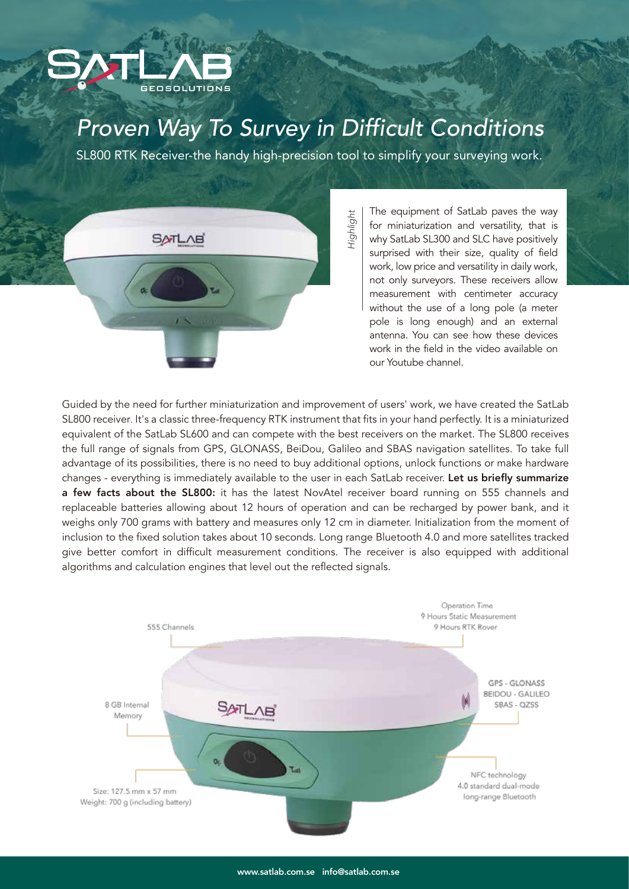

## *Proven Way To Survey in Difficult Conditions*

SL800 RTK Receiver-the handy high-precision tool to simplify your surveying work.



The equipment of SatLab paves the way for miniaturization and versatility, that is why SatLab SL300 and SLC have positively surprised with their size, quality of field work, low price and versatility in daily work, not only surveyors. These receivers allow measurement with centimeter accuracy without the use of a long pole (a meter pole is long enough) and an external antenna. You can see how these devices work in the field in the video available on our Youtube channel.

Guided by the need for further miniaturization and improvement of users' work, we have created the SatLab SL800 receiver. It's a classic three-frequency RTK instrument that fits in your hand perfectly. It is a miniaturized equivalent of the SatLab SL600 and can compete with the best receivers on the market. The SL800 receives the full range of signals from GPS, GLONASS, BeiDou, Galileo and SBAS navigation satellites. To take full advantage of its possibilities, there is no need to buy additional options, unlock functions or make hardware changes - everything is immediately available to the user in each SatLab receiver. Let us briefly summarize a few facts about the SL800: it has the latest NovAtel receiver board running on 555 channels and replaceable batteries allowing about 12 hours of operation and can be recharged by power bank, and it weighs only 700 grams with battery and measures only 12 cm in diameter. Initialization from the moment of inclusion to the fixed solution takes about 10 seconds. Long range Bluetooth 4.0 and more satellites tracked give better comfort in difficult measurement conditions. The receiver is also equipped with additional algorithms and calculation engines that level out the reflected signals.